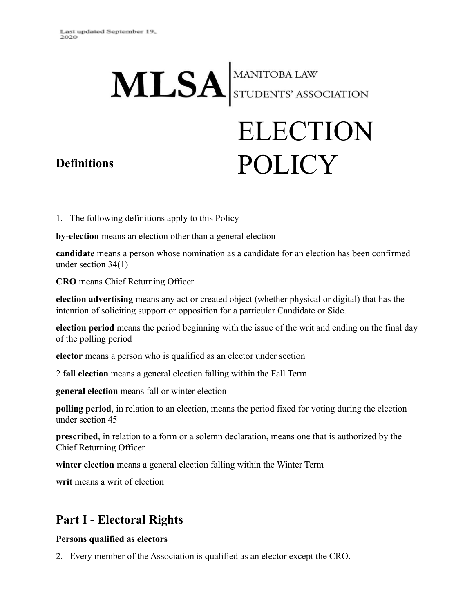# MLSA STUDENTS' ASSOCIATION

# ELECTION POLICY

### **Definitions**

1. The following definitions apply to this Policy

**by-election** means an election other than a general election

**candidate** means a person whose nomination as a candidate for an election has been confirmed under section 34(1)

**CRO** means Chief Returning Officer

**election advertising** means any act or created object (whether physical or digital) that has the intention of soliciting support or opposition for a particular Candidate or Side.

**election period** means the period beginning with the issue of the writ and ending on the final day of the polling period

**elector** means a person who is qualified as an elector under section

2 **fall election** means a general election falling within the Fall Term

**general election** means fall or winter election

**polling period**, in relation to an election, means the period fixed for voting during the election under section 45

**prescribed**, in relation to a form or a solemn declaration, means one that is authorized by the Chief Returning Officer

**winter election** means a general election falling within the Winter Term

**writ** means a writ of election

# **Part I - Electoral Rights**

#### **Persons qualified as electors**

2. Every member of the Association is qualified as an elector except the CRO.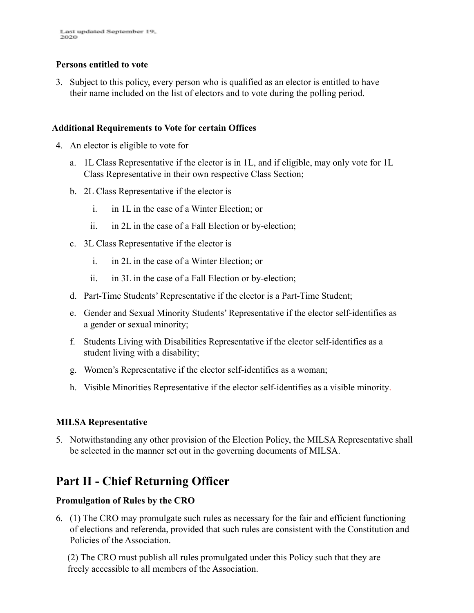#### **Persons entitled to vote**

3. Subject to this policy, every person who is qualified as an elector is entitled to have their name included on the list of electors and to vote during the polling period.

#### **Additional Requirements to Vote for certain Offices**

- 4. An elector is eligible to vote for
	- a. 1L Class Representative if the elector is in 1L, and if eligible, may only vote for 1L Class Representative in their own respective Class Section;
	- b. 2L Class Representative if the elector is
		- i. in 1L in the case of a Winter Election; or
		- ii. in 2L in the case of a Fall Election or by-election;
	- c. 3L Class Representative if the elector is
		- i. in 2L in the case of a Winter Election; or
		- ii. in 3L in the case of a Fall Election or by-election;
	- d. Part-Time Students' Representative if the elector is a Part-Time Student;
	- e. Gender and Sexual Minority Students' Representative if the elector self-identifies as a gender or sexual minority;
	- f. Students Living with Disabilities Representative if the elector self-identifies as a student living with a disability;
	- g. Women's Representative if the elector self-identifies as a woman;
	- h. Visible Minorities Representative if the elector self-identifies as a visible minority.

#### **MILSA Representative**

5. Notwithstanding any other provision of the Election Policy, the MILSA Representative shall be selected in the manner set out in the governing documents of MILSA.

# **Part II - Chief Returning Officer**

#### **Promulgation of Rules by the CRO**

6. (1) The CRO may promulgate such rules as necessary for the fair and efficient functioning of elections and referenda, provided that such rules are consistent with the Constitution and Policies of the Association.

(2) The CRO must publish all rules promulgated under this Policy such that they are freely accessible to all members of the Association.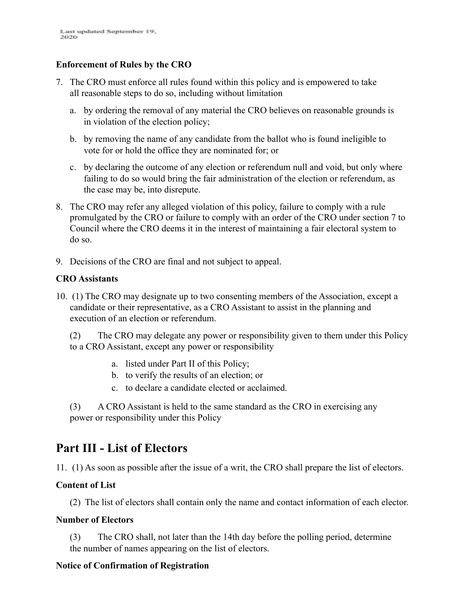#### **Enforcement of Rules by the CRO**

- 7. The CRO must enforce all rules found within this policy and is empowered to take all reasonable steps to do so, including without limitation
	- a. by ordering the removal of any material the CRO believes on reasonable grounds is in violation of the election policy;
	- b. by removing the name of any candidate from the ballot who is found ineligible to vote for or hold the office they are nominated for; or
	- c. by declaring the outcome of any election or referendum null and void, but only where failing to do so would bring the fair administration of the election or referendum, as the case may be, into disrepute.
- 8. The CRO may refer any alleged violation of this policy, failure to comply with a rule promulgated by the CRO or failure to comply with an order of the CRO under section 7 to Council where the CRO deems it in the interest of maintaining a fair electoral system to do so.
- 9. Decisions of the CRO are final and not subject to appeal.

#### **CRO Assistants**

10. (1) The CRO may designate up to two consenting members of the Association, except a candidate or their representative, as a CRO Assistant to assist in the planning and execution of an election or referendum.

(2) The CRO may delegate any power or responsibility given to them under this Policy to a CRO Assistant, except any power or responsibility

- a. listed under Part II of this Policy;
- b. to verify the results of an election; or
- c. to declare a candidate elected or acclaimed.

(3) A CRO Assistant is held to the same standard as the CRO in exercising any power or responsibility under this Policy

# **Part III - List of Electors**

11. (1) As soon as possible after the issue of a writ, the CRO shall prepare the list of electors.

#### **Content of List**

(2) The list of electors shall contain only the name and contact information of each elector.

#### **Number of Electors**

(3) The CRO shall, not later than the 14th day before the polling period, determine the number of names appearing on the list of electors.

#### **Notice of Confirmation of Registration**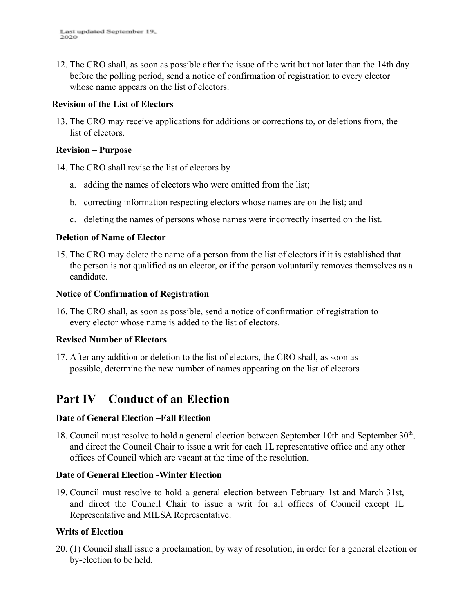12. The CRO shall, as soon as possible after the issue of the writ but not later than the 14th day before the polling period, send a notice of confirmation of registration to every elector whose name appears on the list of electors.

#### **Revision of the List of Electors**

13. The CRO may receive applications for additions or corrections to, or deletions from, the list of electors.

#### **Revision – Purpose**

14. The CRO shall revise the list of electors by

- a. adding the names of electors who were omitted from the list;
- b. correcting information respecting electors whose names are on the list; and
- c. deleting the names of persons whose names were incorrectly inserted on the list.

#### **Deletion of Name of Elector**

15. The CRO may delete the name of a person from the list of electors if it is established that the person is not qualified as an elector, or if the person voluntarily removes themselves as a candidate.

#### **Notice of Confirmation of Registration**

16. The CRO shall, as soon as possible, send a notice of confirmation of registration to every elector whose name is added to the list of electors.

#### **Revised Number of Electors**

17. After any addition or deletion to the list of electors, the CRO shall, as soon as possible, determine the new number of names appearing on the list of electors

# **Part IV – Conduct of an Election**

#### **Date of General Election –Fall Election**

18. Council must resolve to hold a general election between September 10th and September 30<sup>th</sup>, and direct the Council Chair to issue a writ for each 1L representative office and any other offices of Council which are vacant at the time of the resolution.

#### **Date of General Election -Winter Election**

19. Council must resolve to hold a general election between February 1st and March 31st, and direct the Council Chair to issue a writ for all offices of Council except 1L Representative and MILSA Representative.

#### **Writs of Election**

20. (1) Council shall issue a proclamation, by way of resolution, in order for a general election or by-election to be held.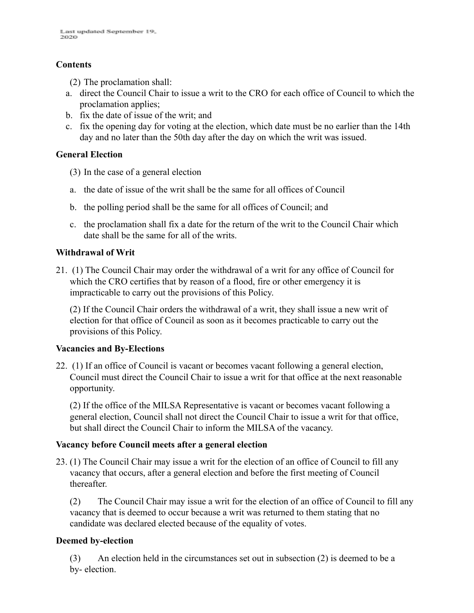#### **Contents**

(2) The proclamation shall:

- a. direct the Council Chair to issue a writ to the CRO for each office of Council to which the proclamation applies;
- b. fix the date of issue of the writ; and
- c. fix the opening day for voting at the election, which date must be no earlier than the 14th day and no later than the 50th day after the day on which the writ was issued.

#### **General Election**

- (3) In the case of a general election
- a. the date of issue of the writ shall be the same for all offices of Council
- b. the polling period shall be the same for all offices of Council; and
- c. the proclamation shall fix a date for the return of the writ to the Council Chair which date shall be the same for all of the writs.

#### **Withdrawal of Writ**

21. (1) The Council Chair may order the withdrawal of a writ for any office of Council for which the CRO certifies that by reason of a flood, fire or other emergency it is impracticable to carry out the provisions of this Policy.

(2) If the Council Chair orders the withdrawal of a writ, they shall issue a new writ of election for that office of Council as soon as it becomes practicable to carry out the provisions of this Policy.

#### **Vacancies and By-Elections**

22. (1) If an office of Council is vacant or becomes vacant following a general election, Council must direct the Council Chair to issue a writ for that office at the next reasonable opportunity.

(2) If the office of the MILSA Representative is vacant or becomes vacant following a general election, Council shall not direct the Council Chair to issue a writ for that office, but shall direct the Council Chair to inform the MILSA of the vacancy.

#### **Vacancy before Council meets after a general election**

23. (1) The Council Chair may issue a writ for the election of an office of Council to fill any vacancy that occurs, after a general election and before the first meeting of Council thereafter.

(2) The Council Chair may issue a writ for the election of an office of Council to fill any vacancy that is deemed to occur because a writ was returned to them stating that no candidate was declared elected because of the equality of votes.

#### **Deemed by-election**

(3) An election held in the circumstances set out in subsection (2) is deemed to be a by- election.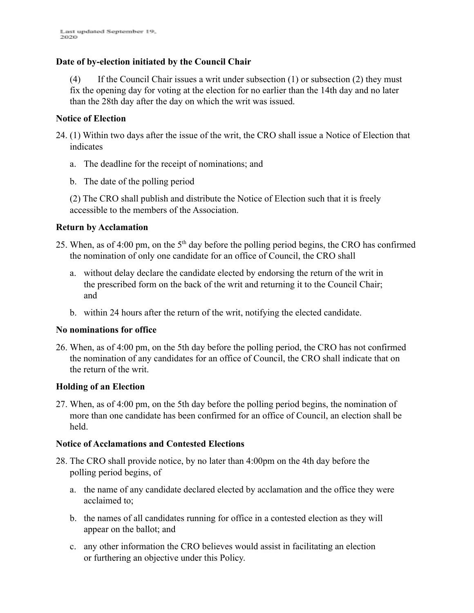#### **Date of by-election initiated by the Council Chair**

(4) If the Council Chair issues a writ under subsection (1) or subsection (2) they must fix the opening day for voting at the election for no earlier than the 14th day and no later than the 28th day after the day on which the writ was issued.

#### **Notice of Election**

- 24. (1) Within two days after the issue of the writ, the CRO shall issue a Notice of Election that indicates
	- a. The deadline for the receipt of nominations; and
	- b. The date of the polling period

(2) The CRO shall publish and distribute the Notice of Election such that it is freely accessible to the members of the Association.

#### **Return by Acclamation**

- 25. When, as of 4:00 pm, on the  $5<sup>th</sup>$  day before the polling period begins, the CRO has confirmed the nomination of only one candidate for an office of Council, the CRO shall
	- a. without delay declare the candidate elected by endorsing the return of the writ in the prescribed form on the back of the writ and returning it to the Council Chair; and
	- b. within 24 hours after the return of the writ, notifying the elected candidate.

#### **No nominations for office**

26. When, as of 4:00 pm, on the 5th day before the polling period, the CRO has not confirmed the nomination of any candidates for an office of Council, the CRO shall indicate that on the return of the writ.

#### **Holding of an Election**

27. When, as of 4:00 pm, on the 5th day before the polling period begins, the nomination of more than one candidate has been confirmed for an office of Council, an election shall be held.

#### **Notice of Acclamations and Contested Elections**

- 28. The CRO shall provide notice, by no later than 4:00pm on the 4th day before the polling period begins, of
	- a. the name of any candidate declared elected by acclamation and the office they were acclaimed to;
	- b. the names of all candidates running for office in a contested election as they will appear on the ballot; and
	- c. any other information the CRO believes would assist in facilitating an election or furthering an objective under this Policy.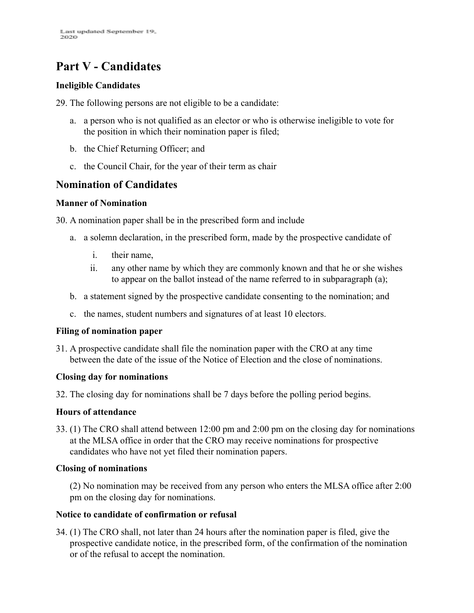# **Part V - Candidates**

#### **Ineligible Candidates**

29. The following persons are not eligible to be a candidate:

- a. a person who is not qualified as an elector or who is otherwise ineligible to vote for the position in which their nomination paper is filed;
- b. the Chief Returning Officer; and
- c. the Council Chair, for the year of their term as chair

#### **Nomination of Candidates**

#### **Manner of Nomination**

30. A nomination paper shall be in the prescribed form and include

- a. a solemn declaration, in the prescribed form, made by the prospective candidate of
	- i. their name,
	- ii. any other name by which they are commonly known and that he or she wishes to appear on the ballot instead of the name referred to in subparagraph (a);
- b. a statement signed by the prospective candidate consenting to the nomination; and
- c. the names, student numbers and signatures of at least 10 electors.

#### **Filing of nomination paper**

31. A prospective candidate shall file the nomination paper with the CRO at any time between the date of the issue of the Notice of Election and the close of nominations.

#### **Closing day for nominations**

32. The closing day for nominations shall be 7 days before the polling period begins.

#### **Hours of attendance**

33. (1) The CRO shall attend between 12:00 pm and 2:00 pm on the closing day for nominations at the MLSA office in order that the CRO may receive nominations for prospective candidates who have not yet filed their nomination papers.

#### **Closing of nominations**

(2) No nomination may be received from any person who enters the MLSA office after 2:00 pm on the closing day for nominations.

#### **Notice to candidate of confirmation or refusal**

34. (1) The CRO shall, not later than 24 hours after the nomination paper is filed, give the prospective candidate notice, in the prescribed form, of the confirmation of the nomination or of the refusal to accept the nomination.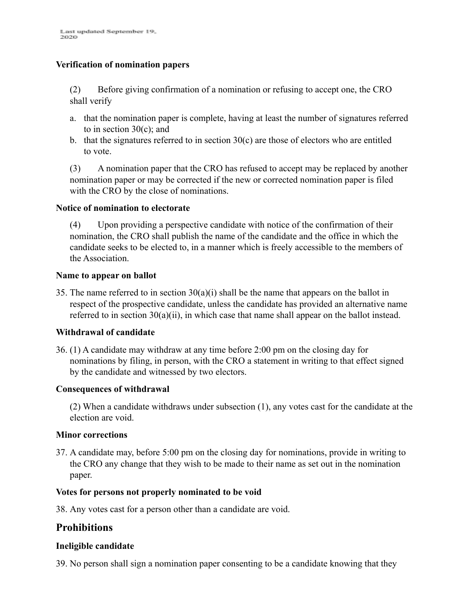#### **Verification of nomination papers**

(2) Before giving confirmation of a nomination or refusing to accept one, the CRO shall verify

- a. that the nomination paper is complete, having at least the number of signatures referred to in section  $30(c)$ ; and
- b. that the signatures referred to in section  $30(c)$  are those of electors who are entitled to vote.

(3) A nomination paper that the CRO has refused to accept may be replaced by another nomination paper or may be corrected if the new or corrected nomination paper is filed with the CRO by the close of nominations.

#### **Notice of nomination to electorate**

(4) Upon providing a perspective candidate with notice of the confirmation of their nomination, the CRO shall publish the name of the candidate and the office in which the candidate seeks to be elected to, in a manner which is freely accessible to the members of the Association.

#### **Name to appear on ballot**

35. The name referred to in section  $30(a)(i)$  shall be the name that appears on the ballot in respect of the prospective candidate, unless the candidate has provided an alternative name referred to in section 30(a)(ii), in which case that name shall appear on the ballot instead.

#### **Withdrawal of candidate**

36. (1) A candidate may withdraw at any time before 2:00 pm on the closing day for nominations by filing, in person, with the CRO a statement in writing to that effect signed by the candidate and witnessed by two electors.

#### **Consequences of withdrawal**

(2) When a candidate withdraws under subsection (1), any votes cast for the candidate at the election are void.

#### **Minor corrections**

37. A candidate may, before 5:00 pm on the closing day for nominations, provide in writing to the CRO any change that they wish to be made to their name as set out in the nomination paper.

#### **Votes for persons not properly nominated to be void**

38. Any votes cast for a person other than a candidate are void.

#### **Prohibitions**

#### **Ineligible candidate**

39. No person shall sign a nomination paper consenting to be a candidate knowing that they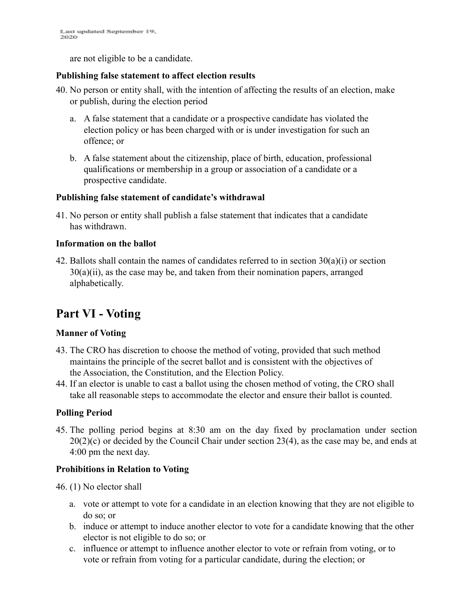Last updated September 19, 2020

are not eligible to be a candidate.

#### **Publishing false statement to affect election results**

- 40. No person or entity shall, with the intention of affecting the results of an election, make or publish, during the election period
	- a. A false statement that a candidate or a prospective candidate has violated the election policy or has been charged with or is under investigation for such an offence; or
	- b. A false statement about the citizenship, place of birth, education, professional qualifications or membership in a group or association of a candidate or a prospective candidate.

#### **Publishing false statement of candidate's withdrawal**

41. No person or entity shall publish a false statement that indicates that a candidate has withdrawn.

#### **Information on the ballot**

42. Ballots shall contain the names of candidates referred to in section  $30(a)(i)$  or section 30(a)(ii), as the case may be, and taken from their nomination papers, arranged alphabetically.

# **Part VI - Voting**

#### **Manner of Voting**

- 43. The CRO has discretion to choose the method of voting, provided that such method maintains the principle of the secret ballot and is consistent with the objectives of the Association, the Constitution, and the Election Policy.
- 44. If an elector is unable to cast a ballot using the chosen method of voting, the CRO shall take all reasonable steps to accommodate the elector and ensure their ballot is counted.

#### **Polling Period**

45. The polling period begins at 8:30 am on the day fixed by proclamation under section  $20(2)(c)$  or decided by the Council Chair under section 23(4), as the case may be, and ends at 4:00 pm the next day.

#### **Prohibitions in Relation to Voting**

46. (1) No elector shall

- a. vote or attempt to vote for a candidate in an election knowing that they are not eligible to do so; or
- b. induce or attempt to induce another elector to vote for a candidate knowing that the other elector is not eligible to do so; or
- c. influence or attempt to influence another elector to vote or refrain from voting, or to vote or refrain from voting for a particular candidate, during the election; or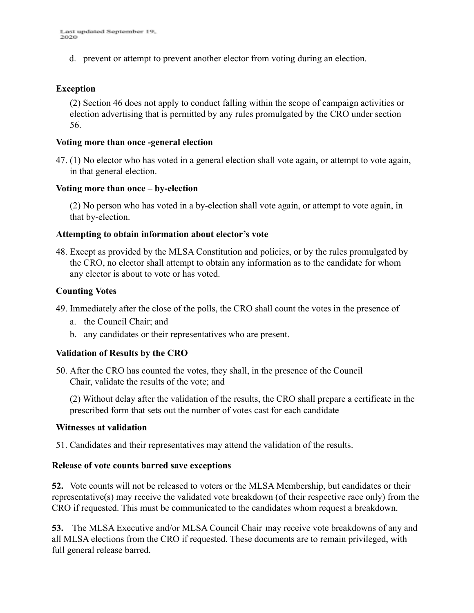d. prevent or attempt to prevent another elector from voting during an election.

#### **Exception**

(2) Section 46 does not apply to conduct falling within the scope of campaign activities or election advertising that is permitted by any rules promulgated by the CRO under section 56.

#### **Voting more than once -general election**

47. (1) No elector who has voted in a general election shall vote again, or attempt to vote again, in that general election.

#### **Voting more than once – by-election**

(2) No person who has voted in a by-election shall vote again, or attempt to vote again, in that by-election.

#### **Attempting to obtain information about elector's vote**

48. Except as provided by the MLSA Constitution and policies, or by the rules promulgated by the CRO, no elector shall attempt to obtain any information as to the candidate for whom any elector is about to vote or has voted.

#### **Counting Votes**

- 49. Immediately after the close of the polls, the CRO shall count the votes in the presence of
	- a. the Council Chair; and
	- b. any candidates or their representatives who are present.

#### **Validation of Results by the CRO**

50. After the CRO has counted the votes, they shall, in the presence of the Council Chair, validate the results of the vote; and

(2) Without delay after the validation of the results, the CRO shall prepare a certificate in the prescribed form that sets out the number of votes cast for each candidate

#### **Witnesses at validation**

51. Candidates and their representatives may attend the validation of the results.

#### **Release of vote counts barred save exceptions**

**52.** Vote counts will not be released to voters or the MLSA Membership, but candidates or their representative(s) may receive the validated vote breakdown (of their respective race only) from the CRO if requested. This must be communicated to the candidates whom request a breakdown.

**53.** The MLSA Executive and/or MLSA Council Chair may receive vote breakdowns of any and all MLSA elections from the CRO if requested. These documents are to remain privileged, with full general release barred.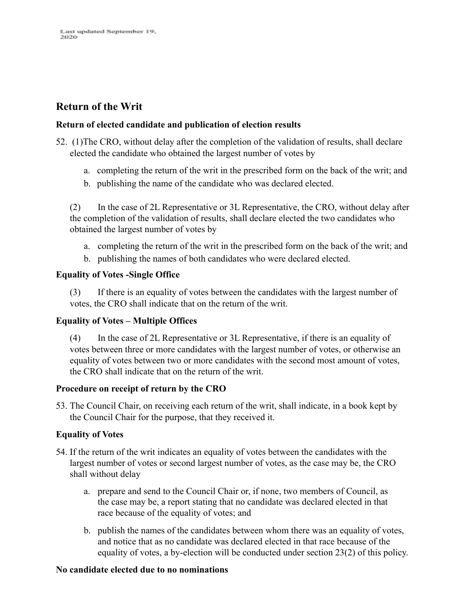#### **Return of the Writ**

#### **Return of elected candidate and publication of election results**

- 52. (1)The CRO, without delay after the completion of the validation of results, shall declare elected the candidate who obtained the largest number of votes by
	- a. completing the return of the writ in the prescribed form on the back of the writ; and
	- b. publishing the name of the candidate who was declared elected.

(2) In the case of 2L Representative or 3L Representative, the CRO, without delay after the completion of the validation of results, shall declare elected the two candidates who obtained the largest number of votes by

- a. completing the return of the writ in the prescribed form on the back of the writ; and
- b. publishing the names of both candidates who were declared elected.

#### **Equality of Votes -Single Office**

(3) If there is an equality of votes between the candidates with the largest number of votes, the CRO shall indicate that on the return of the writ.

#### **Equality of Votes – Multiple Offices**

(4) In the case of 2L Representative or 3L Representative, if there is an equality of votes between three or more candidates with the largest number of votes, or otherwise an equality of votes between two or more candidates with the second most amount of votes, the CRO shall indicate that on the return of the writ.

#### **Procedure on receipt of return by the CRO**

53. The Council Chair, on receiving each return of the writ, shall indicate, in a book kept by the Council Chair for the purpose, that they received it.

#### **Equality of Votes**

- 54. If the return of the writ indicates an equality of votes between the candidates with the largest number of votes or second largest number of votes, as the case may be, the CRO shall without delay
	- a. prepare and send to the Council Chair or, if none, two members of Council, as the case may be, a report stating that no candidate was declared elected in that race because of the equality of votes; and
	- b. publish the names of the candidates between whom there was an equality of votes, and notice that as no candidate was declared elected in that race because of the equality of votes, a by-election will be conducted under section 23(2) of this policy.

#### **No candidate elected due to no nominations**